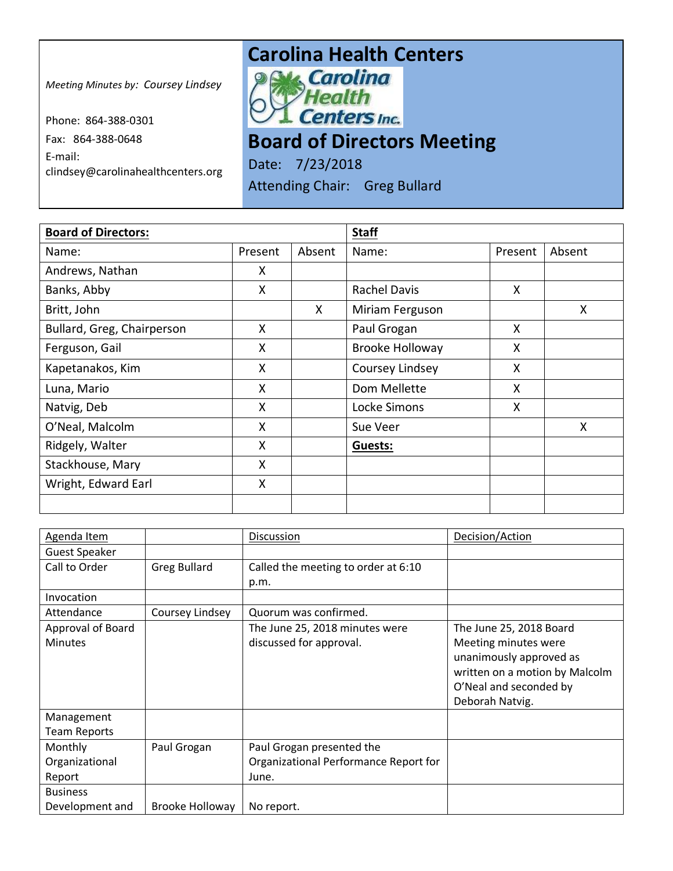## **Carolina Health Centers**<br> **Pows Carolina**

*Meeting Minutes by: Coursey Lindsey*

Phone: 864-388-0301 Fax: 864-388-0648 E-mail: clindsey@carolinahealthcenters.org

Health **Centers** Inc.

**Board of Directors Meeting** 

Date: 7/23/2018 Attending Chair: Greg Bullard

| <b>Board of Directors:</b> |         | <b>Staff</b> |                        |         |        |
|----------------------------|---------|--------------|------------------------|---------|--------|
| Name:                      | Present | Absent       | Name:                  | Present | Absent |
| Andrews, Nathan            | X       |              |                        |         |        |
| Banks, Abby                | X       |              | <b>Rachel Davis</b>    | X.      |        |
| Britt, John                |         | X            | Miriam Ferguson        |         | X      |
| Bullard, Greg, Chairperson | X       |              | Paul Grogan            | X       |        |
| Ferguson, Gail             | X       |              | <b>Brooke Holloway</b> | X       |        |
| Kapetanakos, Kim           | X       |              | Coursey Lindsey        | X       |        |
| Luna, Mario                | X       |              | Dom Mellette           | Χ       |        |
| Natvig, Deb                | X       |              | Locke Simons           | X       |        |
| O'Neal, Malcolm            | X       |              | Sue Veer               |         | Χ      |
| Ridgely, Walter            | X       |              | Guests:                |         |        |
| Stackhouse, Mary           | X       |              |                        |         |        |
| Wright, Edward Earl        | X       |              |                        |         |        |
|                            |         |              |                        |         |        |

| Agenda Item          |                     | Discussion                            | Decision/Action                |
|----------------------|---------------------|---------------------------------------|--------------------------------|
| <b>Guest Speaker</b> |                     |                                       |                                |
| Call to Order        | <b>Greg Bullard</b> | Called the meeting to order at 6:10   |                                |
|                      |                     | p.m.                                  |                                |
| Invocation           |                     |                                       |                                |
| Attendance           | Coursey Lindsey     | Quorum was confirmed.                 |                                |
| Approval of Board    |                     | The June 25, 2018 minutes were        | The June 25, 2018 Board        |
| <b>Minutes</b>       |                     | discussed for approval.               | Meeting minutes were           |
|                      |                     |                                       | unanimously approved as        |
|                      |                     |                                       | written on a motion by Malcolm |
|                      |                     |                                       | O'Neal and seconded by         |
|                      |                     |                                       | Deborah Natvig.                |
| Management           |                     |                                       |                                |
| <b>Team Reports</b>  |                     |                                       |                                |
| Monthly              | Paul Grogan         | Paul Grogan presented the             |                                |
| Organizational       |                     | Organizational Performance Report for |                                |
| Report               |                     | June.                                 |                                |
| <b>Business</b>      |                     |                                       |                                |
| Development and      | Brooke Holloway     | No report.                            |                                |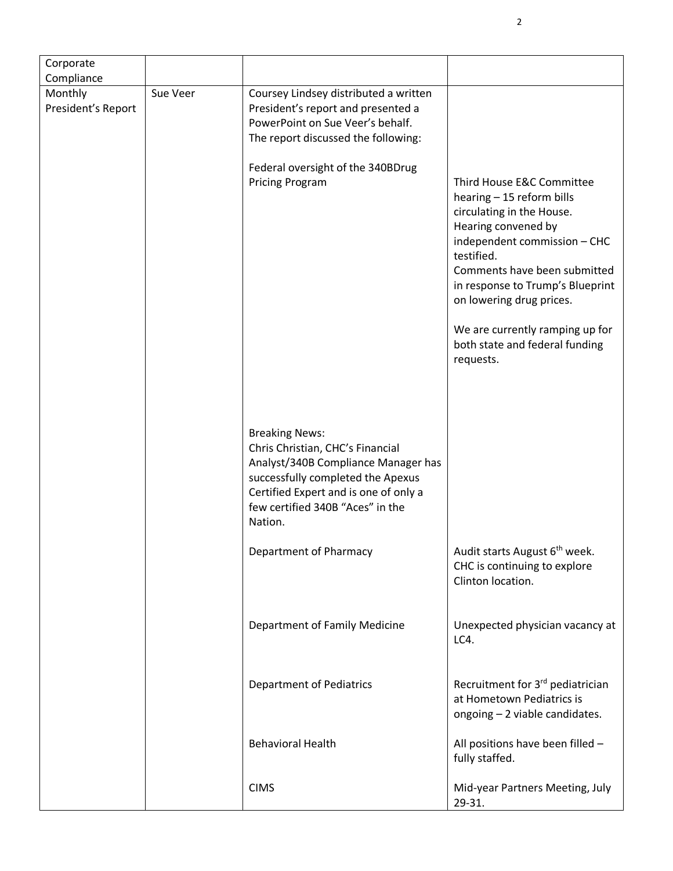| Corporate<br>Compliance       |          |                                                                                                                                                                                                                               |                                                                                                                                                                                                                                                          |
|-------------------------------|----------|-------------------------------------------------------------------------------------------------------------------------------------------------------------------------------------------------------------------------------|----------------------------------------------------------------------------------------------------------------------------------------------------------------------------------------------------------------------------------------------------------|
| Monthly<br>President's Report | Sue Veer | Coursey Lindsey distributed a written<br>President's report and presented a<br>PowerPoint on Sue Veer's behalf.<br>The report discussed the following:                                                                        |                                                                                                                                                                                                                                                          |
|                               |          | Federal oversight of the 340BDrug<br>Pricing Program                                                                                                                                                                          | Third House E&C Committee<br>hearing - 15 reform bills<br>circulating in the House.<br>Hearing convened by<br>independent commission - CHC<br>testified.<br>Comments have been submitted<br>in response to Trump's Blueprint<br>on lowering drug prices. |
|                               |          |                                                                                                                                                                                                                               | We are currently ramping up for<br>both state and federal funding<br>requests.                                                                                                                                                                           |
|                               |          | <b>Breaking News:</b><br>Chris Christian, CHC's Financial<br>Analyst/340B Compliance Manager has<br>successfully completed the Apexus<br>Certified Expert and is one of only a<br>few certified 340B "Aces" in the<br>Nation. |                                                                                                                                                                                                                                                          |
|                               |          | Department of Pharmacy                                                                                                                                                                                                        | Audit starts August 6 <sup>th</sup> week.<br>CHC is continuing to explore<br>Clinton location.                                                                                                                                                           |
|                               |          | Department of Family Medicine                                                                                                                                                                                                 | Unexpected physician vacancy at<br>LC4.                                                                                                                                                                                                                  |
|                               |          | <b>Department of Pediatrics</b>                                                                                                                                                                                               | Recruitment for 3 <sup>rd</sup> pediatrician<br>at Hometown Pediatrics is<br>ongoing - 2 viable candidates.                                                                                                                                              |
|                               |          | <b>Behavioral Health</b>                                                                                                                                                                                                      | All positions have been filled -<br>fully staffed.                                                                                                                                                                                                       |
|                               |          | <b>CIMS</b>                                                                                                                                                                                                                   | Mid-year Partners Meeting, July<br>29-31.                                                                                                                                                                                                                |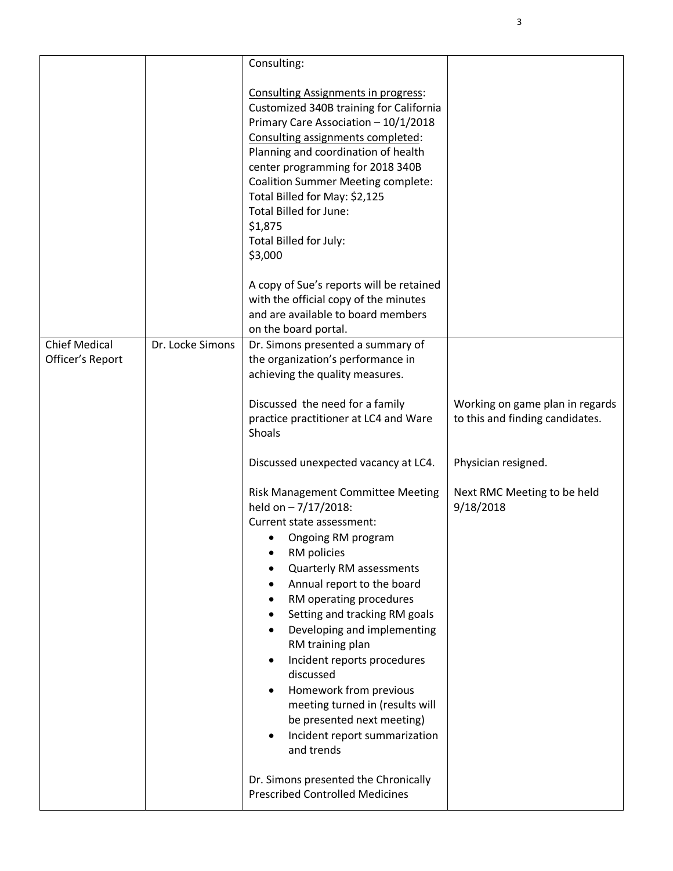|                      |                  | Consulting:                                                                                                                                                                                                                                                                                                                                                                                                                                                                                              |                                          |
|----------------------|------------------|----------------------------------------------------------------------------------------------------------------------------------------------------------------------------------------------------------------------------------------------------------------------------------------------------------------------------------------------------------------------------------------------------------------------------------------------------------------------------------------------------------|------------------------------------------|
|                      |                  | <b>Consulting Assignments in progress:</b><br>Customized 340B training for California<br>Primary Care Association - 10/1/2018<br>Consulting assignments completed:<br>Planning and coordination of health<br>center programming for 2018 340B<br><b>Coalition Summer Meeting complete:</b><br>Total Billed for May: \$2,125<br><b>Total Billed for June:</b><br>\$1,875<br>Total Billed for July:<br>\$3,000                                                                                             |                                          |
|                      |                  | A copy of Sue's reports will be retained                                                                                                                                                                                                                                                                                                                                                                                                                                                                 |                                          |
|                      |                  | with the official copy of the minutes                                                                                                                                                                                                                                                                                                                                                                                                                                                                    |                                          |
|                      |                  | and are available to board members<br>on the board portal.                                                                                                                                                                                                                                                                                                                                                                                                                                               |                                          |
| <b>Chief Medical</b> | Dr. Locke Simons | Dr. Simons presented a summary of                                                                                                                                                                                                                                                                                                                                                                                                                                                                        |                                          |
| Officer's Report     |                  | the organization's performance in                                                                                                                                                                                                                                                                                                                                                                                                                                                                        |                                          |
|                      |                  | achieving the quality measures.                                                                                                                                                                                                                                                                                                                                                                                                                                                                          |                                          |
|                      |                  | Discussed the need for a family                                                                                                                                                                                                                                                                                                                                                                                                                                                                          | Working on game plan in regards          |
|                      |                  | practice practitioner at LC4 and Ware<br>Shoals                                                                                                                                                                                                                                                                                                                                                                                                                                                          | to this and finding candidates.          |
|                      |                  | Discussed unexpected vacancy at LC4.                                                                                                                                                                                                                                                                                                                                                                                                                                                                     | Physician resigned.                      |
|                      |                  | <b>Risk Management Committee Meeting</b><br>held on - 7/17/2018:<br>Current state assessment:<br>Ongoing RM program<br>RM policies<br><b>Quarterly RM assessments</b><br>Annual report to the board<br>RM operating procedures<br>Setting and tracking RM goals<br>Developing and implementing<br>RM training plan<br>Incident reports procedures<br>discussed<br>Homework from previous<br>meeting turned in (results will<br>be presented next meeting)<br>Incident report summarization<br>and trends | Next RMC Meeting to be held<br>9/18/2018 |
|                      |                  | Dr. Simons presented the Chronically<br><b>Prescribed Controlled Medicines</b>                                                                                                                                                                                                                                                                                                                                                                                                                           |                                          |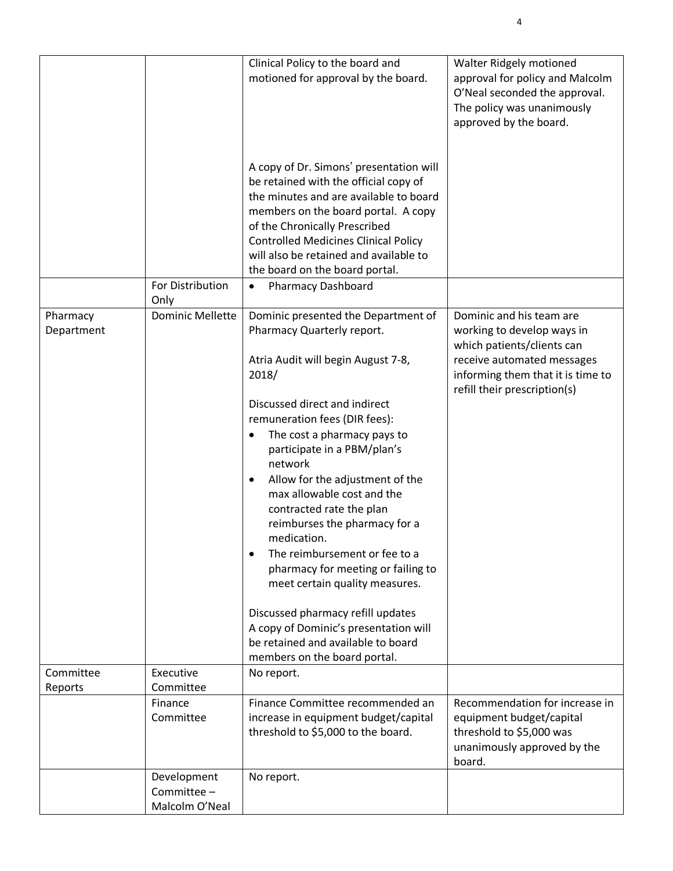|                        |                                              | Clinical Policy to the board and<br>motioned for approval by the board.                                                                                                                                                                                                                                                                                                                                                                              | Walter Ridgely motioned<br>approval for policy and Malcolm<br>O'Neal seconded the approval.<br>The policy was unanimously<br>approved by the board.                                     |
|------------------------|----------------------------------------------|------------------------------------------------------------------------------------------------------------------------------------------------------------------------------------------------------------------------------------------------------------------------------------------------------------------------------------------------------------------------------------------------------------------------------------------------------|-----------------------------------------------------------------------------------------------------------------------------------------------------------------------------------------|
|                        |                                              | A copy of Dr. Simons' presentation will<br>be retained with the official copy of<br>the minutes and are available to board<br>members on the board portal. A copy<br>of the Chronically Prescribed<br><b>Controlled Medicines Clinical Policy</b><br>will also be retained and available to<br>the board on the board portal.                                                                                                                        |                                                                                                                                                                                         |
|                        | For Distribution<br>Only                     | <b>Pharmacy Dashboard</b><br>$\bullet$                                                                                                                                                                                                                                                                                                                                                                                                               |                                                                                                                                                                                         |
| Pharmacy<br>Department | <b>Dominic Mellette</b>                      | Dominic presented the Department of<br>Pharmacy Quarterly report.<br>Atria Audit will begin August 7-8,<br>2018/                                                                                                                                                                                                                                                                                                                                     | Dominic and his team are<br>working to develop ways in<br>which patients/clients can<br>receive automated messages<br>informing them that it is time to<br>refill their prescription(s) |
|                        |                                              | Discussed direct and indirect<br>remuneration fees (DIR fees):<br>The cost a pharmacy pays to<br>participate in a PBM/plan's<br>network<br>Allow for the adjustment of the<br>٠<br>max allowable cost and the<br>contracted rate the plan<br>reimburses the pharmacy for a<br>medication.<br>The reimbursement or fee to a<br>$\bullet$<br>pharmacy for meeting or failing to<br>meet certain quality measures.<br>Discussed pharmacy refill updates |                                                                                                                                                                                         |
|                        |                                              | A copy of Dominic's presentation will<br>be retained and available to board<br>members on the board portal.                                                                                                                                                                                                                                                                                                                                          |                                                                                                                                                                                         |
| Committee              | Executive<br>Committee                       | No report.                                                                                                                                                                                                                                                                                                                                                                                                                                           |                                                                                                                                                                                         |
| Reports                | Finance<br>Committee                         | Finance Committee recommended an<br>increase in equipment budget/capital<br>threshold to \$5,000 to the board.                                                                                                                                                                                                                                                                                                                                       | Recommendation for increase in<br>equipment budget/capital<br>threshold to \$5,000 was<br>unanimously approved by the<br>board.                                                         |
|                        | Development<br>Committee -<br>Malcolm O'Neal | No report.                                                                                                                                                                                                                                                                                                                                                                                                                                           |                                                                                                                                                                                         |